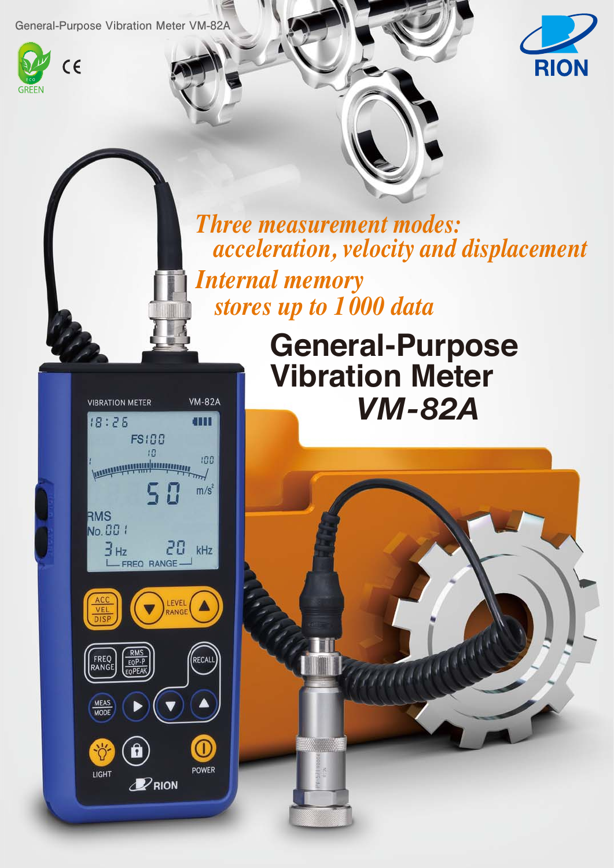**General-Purpose Vibration Meter VM-82A**





*Three measurement modes: acceleration, velocity and displacement Internal memory stores up to 1 000 data*



**RMS**<br>EQP-P<br>EQPEAI

RECAL

▲

Œ POWER

 $\blacktriangledown$ 

 $\mathscr{D}$ RION

FREQ<br>RANGE

MEAS

LIGHT



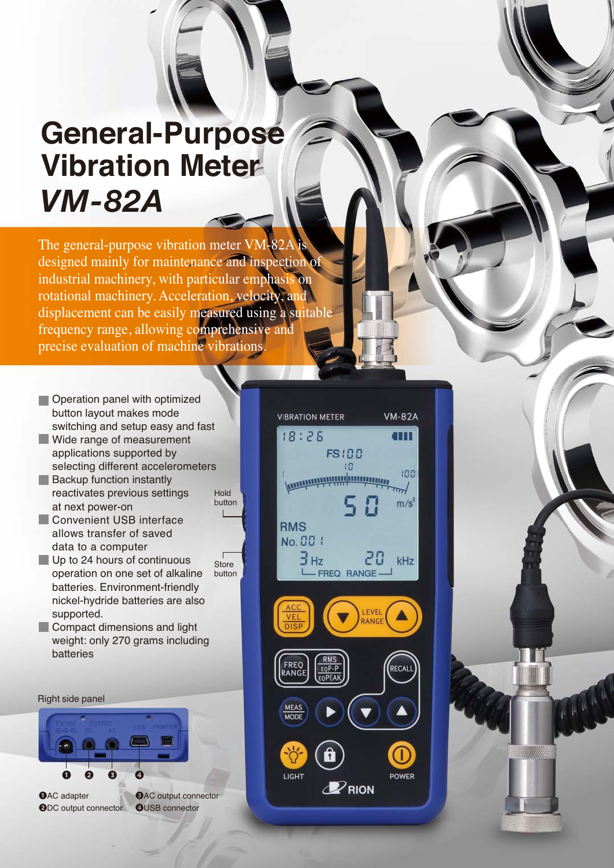# **General-Purpose Vibration Meter** *VM-82A*

The general-purpose vibration meter VM-82A designed mainly for maintenance and inspection of industrial machinery, with particular emphasis on rotational machinery. Acceleration, velocity, and displacement can be easily measured using a suitable frequency range, allowing comprehensive and precise evaluation of machine vibrations.

> Hold button

- **Operation panel with optimized** button layout makes mode switching and setup easy and fast
- Wide range of measurement applications supported by selecting different accelerometers
- Backup function instantly reactivates previous settings at next power-on
- **Convenient USB interface** allows transfer of saved data to a computer
- Up to 24 hours of continuous operation on one set of alkaline batteries. Environment-friendly nickel-hydride batteries are also supported. **Store** button
- **Compact dimensions and light** weight: only 270 grams including batteries

Right side panel



❶AC adapter ❷DC output connector **@AC** output connector **OUSB** connector

**VIBRATION METER VM-82A**  $18:25$ m **FS100**  $10$  $100$ *<u>Forming Hill Community</u>*  $m/s<sup>2</sup>$ **RMS** No. 00 1 Знz 28 kHz FREQ RANGE **FREQ**<br>ANGE EQP-**MEAS MODE** LIGHT **POWER**  $\mathscr{D}$ RION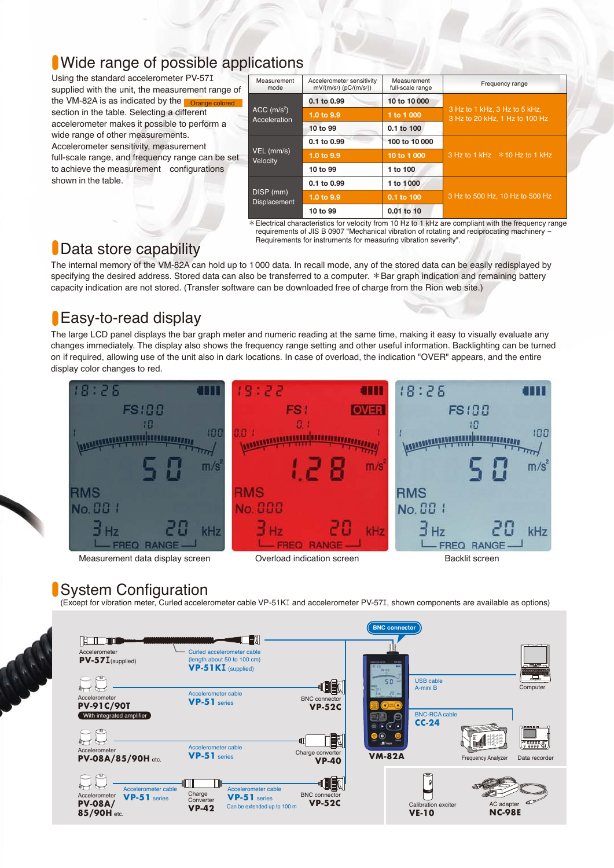#### Wide range of possible applications

Using the standard accelerometer PV-57エ supplied with the unit, the measurement range of the VM-82A is as indicated by the **Corange colored** section in the table. Selecting a different accelerometer makes it possible to perform a wide range of other measurements. Accelerometer sensitivity, measurement full-scale range, and frequency range can be set to achieve the measurement configurations shown in the table.

| Measurement<br>mode                       | Accelerometer sensitivity<br>$mV/(m/s2)$ (pC/(m/s <sup>2</sup> )) | Measurement<br>full-scale range | Frequency range                                                 |  |
|-------------------------------------------|-------------------------------------------------------------------|---------------------------------|-----------------------------------------------------------------|--|
|                                           | 0.1 to 0.99                                                       | 10 to 10 000                    | 3 Hz to 1 kHz, 3 Hz to 5 kHz,<br>3 Hz to 20 kHz, 1 Hz to 100 Hz |  |
| $ACC$ (m/s <sup>2</sup> )<br>Acceleration | 1.0 to 9.9                                                        | 1 to 1 000                      |                                                                 |  |
|                                           | 10 to 99                                                          | $0.1$ to $100$                  |                                                                 |  |
|                                           | 0.1 to 0.99                                                       | 100 to 10 000                   |                                                                 |  |
| VEL (mm/s)<br>Velocity                    | 1.0 to 9.9                                                        | 10 to 1 000                     | 3 Hz to 1 kHz $\overline{*}$ 10 Hz to 1 kHz                     |  |
|                                           | 10 to 99                                                          | 1 to 100                        |                                                                 |  |
|                                           | 0.1 to 0.99                                                       | 1 to 1000                       |                                                                 |  |
| DISP (mm)<br><b>Displacement</b>          | 1.0 to 9.9                                                        | 0.1 to 100                      | 3 Hz to 500 Hz, 10 Hz to 500 Hz                                 |  |
|                                           | 10 to 99                                                          | $0.01$ to 10                    |                                                                 |  |

\*Electrical characteristics for velocity from 10 Hz to 1 kHz are compliant with the frequency range requirements of JIS B 0907 "Mechanical vibration of rotating and reciprocating machinery - Requirements for instruments for measuring vibration severity".

# **Data store capability**

The internal memory of the VM-82A can hold up to 1000 data. In recall mode, any of the stored data can be easily redisplayed by specifying the desired address. Stored data can also be transferred to a computer. \*Bar graph indication and remaining battery capacity indication are not stored. (Transfer software can be downloaded free of charge from the Rion web site.)

## **Easy-to-read display**

The large LCD panel displays the bar graph meter and numeric reading at the same time, making it easy to visually evaluate any changes immediately. The display also shows the frequency range setting and other useful information. Backlighting can be turned on if required, allowing use of the unit also in dark locations. In case of overload, the indication "OVER" appears, and the entire display color changes to red.



### System Configuration

(Except for vibration meter, Curled accelerometer cable VP-51Kエ and accelerometer PV-57エ, shown components are available as options)